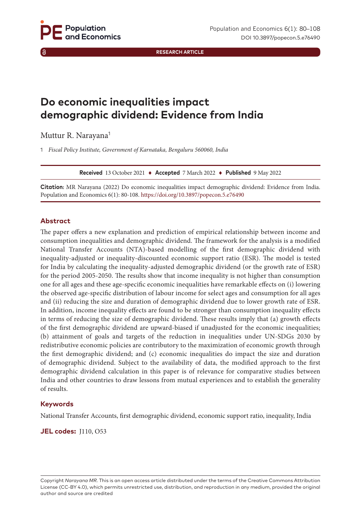**RESEARCH ARTICLE**

# **Do economic inequalities impact demographic dividend: Evidence from India**

Muttur R. Narayana<sup>1</sup>

1 *Fiscal Policy Institute, Government of Karnataka, Bengaluru 560060, India*

**Received** 13 October 2021 ♦ **Accepted** 7 March 2022 ♦ **Published** 9 May 2022

**Citation:** MR Narayana (2022) Do economic inequalities impact demographic dividend: Evidence from India. Population and Economics 6(1): 80-108. <https://doi.org/10.3897/popecon.5.e76490>

#### **Abstract**

The paper offers a new explanation and prediction of empirical relationship between income and consumption inequalities and demographic dividend. The framework for the analysis is a modified National Transfer Accounts (NTA)-based modelling of the first demographic dividend with inequality-adjusted or inequality-discounted economic support ratio (ESR). The model is tested for India by calculating the inequality-adjusted demographic dividend (or the growth rate of ESR) for the period 2005-2050. The results show that income inequality is not higher than consumption one for all ages and these age-specific economic inequalities have remarkable effects on (i) lowering the observed age-specific distribution of labour income for select ages and consumption for all ages and (ii) reducing the size and duration of demographic dividend due to lower growth rate of ESR. In addition, income inequality effects are found to be stronger than consumption inequality effects in terms of reducing the size of demographic dividend. These results imply that (a) growth effects of the first demographic dividend are upward-biased if unadjusted for the economic inequalities; (b) attainment of goals and targets of the reduction in inequalities under UN-SDGs 2030 by redistributive economic policies are contributory to the maximization of economic growth through the first demographic dividend; and (c) economic inequalities do impact the size and duration of demographic dividend. Subject to the availability of data, the modified approach to the first demographic dividend calculation in this paper is of relevance for comparative studies between India and other countries to draw lessons from mutual experiences and to establish the generality of results.

#### **Keywords**

National Transfer Accounts, first demographic dividend, economic support ratio, inequality, India

**JEL codes:** J110, O53

Copyright *Narayana MR.* This is an open access article distributed under the terms of the Creative Commons Attribution License (CC-BY 4.0), which permits unrestricted use, distribution, and reproduction in any medium, provided the original author and source are credited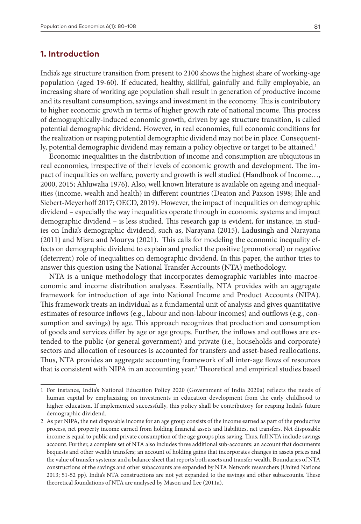### **1. Introduction**

India's age structure transition from present to 2100 shows the highest share of working-age population (aged 19-60). If educated, healthy, skillful, gainfully and fully employable, an increasing share of working age population shall result in generation of productive income and its resultant consumption, savings and investment in the economy. This is contributory to higher economic growth in terms of higher growth rate of national income. This process of demographically-induced economic growth, driven by age structure transition, is called potential demographic dividend. However, in real economies, full economic conditions for the realization or reaping potential demographic dividend may not be in place. Consequently, potential demographic dividend may remain a policy objective or target to be attained.<sup>1</sup>

Economic inequalities in the distribution of income and consumption are ubiquitous in real economies, irrespective of their levels of economic growth and development. The impact of inequalities on welfare, poverty and growth is well studied (Handbook of Income…, 2000, 2015; Ahluwalia 1976). Also, well known literature is available on ageing and inequalities (income, wealth and health) in different countries (Deaton and Paxson 1998; Ihle and Siebert-Meyerhoff 2017; OECD, 2019). However, the impact of inequalities on demographic dividend – especially the way inequalities operate through in economic systems and impact demographic dividend – is less studied. This research gap is evident, for instance, in studies on India's demographic dividend, such as, Narayana (2015), Ladusingh and Narayana (2011) and Misra and Mourya (2021). This calls for modeling the economic inequality effects on demographic dividend to explain and predict the positive (promotional) or negative (deterrent) role of inequalities on demographic dividend. In this paper, the author tries to answer this question using the National Transfer Accounts (NTA) methodology.

NTA is a unique methodology that incorporates demographic variables into macroeconomic and income distribution analyses. Essentially, NTA provides with an aggregate framework for introduction of age into National Income and Product Accounts (NIPA). This framework treats an individual as a fundamental unit of analysis and gives quantitative estimates of resource inflows (e.g., labour and non-labour incomes) and outflows (e.g., consumption and savings) by age. This approach recognizes that production and consumption of goods and services differ by age or age groups. Further, the inflows and outflows are extended to the public (or general government) and private (i.e., households and corporate) sectors and allocation of resources is accounted for transfers and asset-based reallocations. Thus, NTA provides an aggregate accounting framework of all inter-age flows of resources that is consistent with NIPA in an accounting year.<sup>2</sup> Theoretical and empirical studies based

<sup>1</sup> For instance, India's National Education Policy 2020 (Government of India 2020a) reflects the needs of human capital by emphasizing on investments in education development from the early childhood to higher education. If implemented successfully, this policy shall be contributory for reaping India's future demographic dividend.

<sup>2</sup> As per NIPA, the net disposable income for an age group consists of the income earned as part of the productive process, net property income earned from holding financial assets and liabilities, net transfers. Net disposable income is equal to public and private consumption of the age groups plus saving. Thus, full NTA include savings account. Further, a complete set of NTA also includes three additional sub-accounts: an account that documents bequests and other wealth transfers; an account of holding gains that incorporates changes in assets prices and the value of transfer systems; and a balance sheet that reports both assets and transfer wealth. Boundaries of NTA constructions of the savings and other subaccounts are expanded by NTA Network researchers (United Nations 2013; 51-52 pp). India's NTA constructions are not yet expanded to the savings and other subaccounts. These theoretical foundations of NTA are analysed by Mason and Lee (2011a).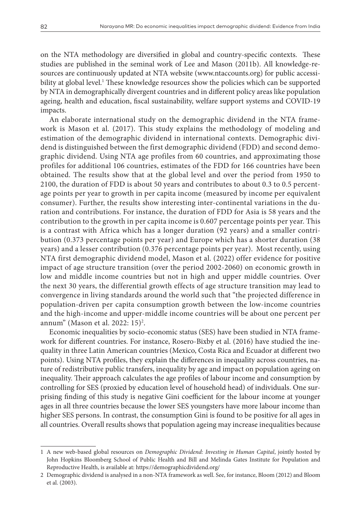on the NTA methodology are diversified in global and country-specific contexts. These studies are published in the seminal work of Lee and Mason (2011b). All knowledge-resources are continuously updated at NTA website (www.ntaccounts.org) for public accessibility at global level.1 These knowledge resources show the policies which can be supported by NTA in demographically divergent countries and in different policy areas like population ageing, health and education, fiscal sustainability, welfare support systems and COVID-19 impacts.

An elaborate international study on the demographic dividend in the NTA framework is Mason et al. (2017). This study explains the methodology of modeling and estimation of the demographic dividend in international contexts. Demographic dividend is distinguished between the first demographic dividend (FDD) and second demographic dividend. Using NTA age profiles from 60 countries, and approximating those profiles for additional 106 countries, estimates of the FDD for 166 countries have been obtained. The results show that at the global level and over the period from 1950 to 2100, the duration of FDD is about 50 years and contributes to about 0.3 to 0.5 percentage points per year to growth in per capita income (measured by income per equivalent consumer). Further, the results show interesting inter-continental variations in the duration and contributions. For instance, the duration of FDD for Asia is 58 years and the contribution to the growth in per capita income is 0.607 percentage points per year. This is a contrast with Africa which has a longer duration (92 years) and a smaller contribution (0.373 percentage points per year) and Europe which has a shorter duration (38 years) and a lesser contribution (0.376 percentage points per year). Most recently, using NTA first demographic dividend model, Mason et al. (2022) offer evidence for positive impact of age structure transition (over the period 2002-2060) on economic growth in low and middle income countries but not in high and upper middle countries. Over the next 30 years, the differential growth effects of age structure transition may lead to convergence in living standards around the world such that "the projected difference in population-driven per capita consumption growth between the low-income countries and the high-income and upper-middle income countries will be about one percent per annum" (Mason et al. 2022: 15)<sup>2</sup>.

Economic inequalities by socio-economic status (SES) have been studied in NTA framework for different countries. For instance, Rosero-Bixby et al. (2016) have studied the inequality in three Latin American countries (Mexico, Costa Rica and Ecuador at different two points). Using NTA profiles, they explain the differences in inequality across countries, nature of redistributive public transfers, inequality by age and impact on population ageing on inequality. Their approach calculates the age profiles of labour income and consumption by controlling for SES (proxied by education level of household head) of individuals. One surprising finding of this study is negative Gini coefficient for the labour income at younger ages in all three countries because the lower SES youngsters have more labour income than higher SES persons. In contrast, the consumption Gini is found to be positive for all ages in all countries. Overall results shows that population ageing may increase inequalities because

<sup>1</sup> A new web-based global resources on *Demographic Dividend: Investing in Human Capital*, jointly hosted by John Hopkins Bloomberg School of Public Health and Bill and Melinda Gates Institute for Population and Reproductive Health, is available at:<https://demographicdividend.org/>

<sup>2</sup> Demographic dividend is analysed in a non-NTA framework as well. See, for instance, Bloom (2012) and Bloom et al. (2003).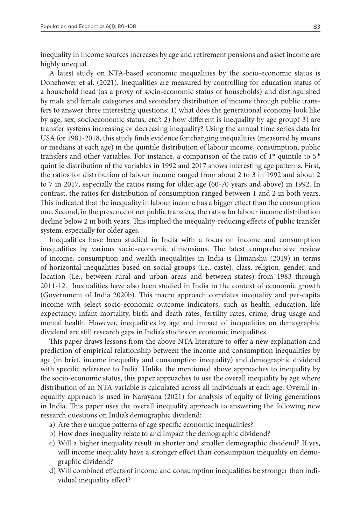inequality in income sources increases by age and retirement pensions and asset income are highly unequal.

A latest study on NTA-based economic inequalities by the socio-economic status is Donehower et al. (2021). Inequalities are measured by controlling for education status of a household head (as a proxy of socio-economic status of households) and distinguished by male and female categories and secondary distribution of income through public transfers to answer three interesting questions: 1) what does the generational economy look like by age, sex, socioeconomic status, etc.? 2) how different is inequality by age group? 3) are transfer systems increasing or decreasing inequality? Using the annual time series data for USA for 1981-2018, this study finds evidence for changing inequalities (measured by means or medians at each age) in the quintile distribution of labour income, consumption, public transfers and other variables. For instance, a comparison of the ratio of  $1<sup>st</sup>$  quintile to  $5<sup>th</sup>$ quintile distribution of the variables in 1992 and 2017 shows interesting age patterns. First, the ratios for distribution of labour income ranged from about 2 to 3 in 1992 and about 2 to 7 in 2017, especially the ratios rising for older age (60-70 years and above) in 1992. In contrast, the ratios for distribution of consumption ranged between 1 and 2 in both years. This indicated that the inequality in labour income has a bigger effect than the consumption one. Second, in the presence of net public transfers, the ratios for labour income distribution decline below 2 in both years. This implied the inequality-reducing effects of public transfer system, especially for older ages.

Inequalities have been studied in India with a focus on income and consumption inequalities by various socio-economic dimensions. The latest comprehensive review of income, consumption and wealth inequalities in India is Himanshu (2019) in terms of horizontal inequalities based on social groups (i.e., caste), class, religion, gender, and location (i.e., between rural and urban areas and between states) from 1983 through 2011-12. Inequalities have also been studied in India in the context of economic growth (Government of India 2020b). This macro approach correlates inequality and per-capita income with select socio-economic outcome indicators, such as health, education, life expectancy, infant mortality, birth and death rates, fertility rates, crime, drug usage and mental health. However, inequalities by age and impact of inequalities on demographic dividend are still research gaps in India's studies on economic inequalities.

This paper draws lessons from the above NTA literature to offer a new explanation and prediction of empirical relationship between the income and consumption inequalities by age (in brief, income inequality and consumption inequality) and demographic dividend with specific reference to India. Unlike the mentioned above approaches to inequality by the socio-economic status, this paper approaches to use the overall inequality by age where distribution of an NTA-variable is calculated across all individuals at each age. Overall inequality approach is used in Narayana (2021) for analysis of equity of living generations in India. This paper uses the overall inequality approach to answering the following new research questions on India's demographic dividend:

- a) Are there unique patterns of age specific economic inequalities?
- b) How does inequality relate to and impact the demographic dividend?
- c) Will a higher inequality result in shorter and smaller demographic dividend? If yes, will income inequality have a stronger effect than consumption inequality on demographic dividend?
- d) Will combined effects of income and consumption inequalities be stronger than individual inequality effect?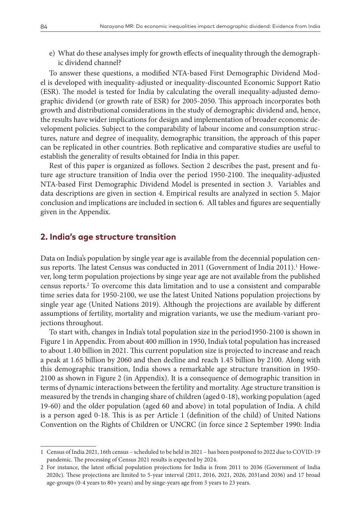e) What do these analyses imply for growth effects of inequality through the demographic dividend channel?

To answer these questions, a modified NTA-based First Demographic Dividend Model is developed with inequality-adjusted or inequality-discounted Economic Support Ratio (ESR). The model is tested for India by calculating the overall inequality-adjusted demographic dividend (or growth rate of ESR) for 2005-2050. This approach incorporates both growth and distributional considerations in the study of demographic dividend and, hence, the results have wider implications for design and implementation of broader economic development policies. Subject to the comparability of labour income and consumption structures, nature and degree of inequality, demographic transition, the approach of this paper can be replicated in other countries. Both replicative and comparative studies are useful to establish the generality of results obtained for India in this paper.

Rest of this paper is organized as follows. Section 2 describes the past, present and future age structure transition of India over the period 1950-2100. The inequality-adjusted NTA-based First Demographic Dividend Model is presented in section 3. Variables and data descriptions are given in section 4. Empirical results are analyzed in section 5. Major conclusion and implications are included in section 6. All tables and figures are sequentially given in the Appendix.

#### **2. India's age structure transition**

Data on India's population by single year age is available from the decennial population census reports. The latest Census was conducted in 2011 (Government of India 2011).<sup>1</sup> However, long term population projections by singe year age are not available from the published census reports.2 To overcome this data limitation and to use a consistent and comparable time series data for 1950-2100, we use the latest United Nations population projections by single year age (United Nations 2019). Although the projections are available by different assumptions of fertility, mortality and migration variants, we use the medium-variant projections throughout.

To start with, changes in India's total population size in the period1950-2100 is shown in Figure 1 in Appendix. From about 400 million in 1950, India's total population has increased to about 1.40 billion in 2021. This current population size is projected to increase and reach a peak at 1.65 billion by 2060 and then decline and reach 1.45 billion by 2100. Along with this demographic transition, India shows a remarkable age structure transition in 1950- 2100 as shown in Figure 2 (in Appendix). It is a consequence of demographic transition in terms of dynamic interactions between the fertility and mortality. Age structure transition is measured by the trends in changing share of children (aged 0-18), working population (aged 19-60) and the older population (aged 60 and above) in total population of India. A child is a person aged 0-18. This is as per Article 1 (definition of the child) of United Nations Convention on the Rights of Children or UNCRC (in force since 2 September 1990: India

<sup>1</sup> Census of India 2021, 16th census – scheduled to be held in 2021 – has been postponed to 2022 due to COVID-19 pandemic. The processing of Census 2021 results is expected by 2024.

<sup>2</sup> For instance, the latest official population projections for India is from 2011 to 2036 (Government of India 2020c). These projections are limited to 5-year interval (2011, 2016, 2021, 2026, 2031and 2036) and 17 broad age-groups (0-4 years to 80+ years) and by singe-years age from 5 years to 23 years.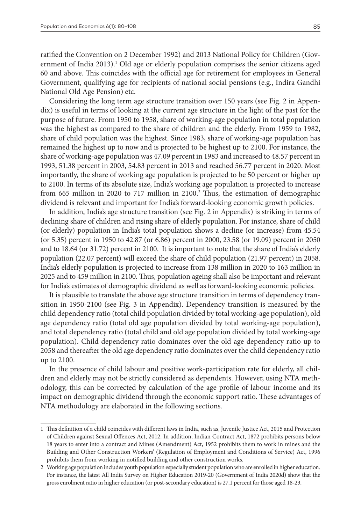ratified the Convention on 2 December 1992) and 2013 National Policy for Children (Government of India 2013).<sup>1</sup> Old age or elderly population comprises the senior citizens aged 60 and above. This coincides with the official age for retirement for employees in General Government, qualifying age for recipients of national social pensions (e.g., Indira Gandhi National Old Age Pension) etc.

Considering the long term age structure transition over 150 years (see Fig. 2 in Appendix) is useful in terms of looking at the current age structure in the light of the past for the purpose of future. From 1950 to 1958, share of working-age population in total population was the highest as compared to the share of children and the elderly. From 1959 to 1982, share of child population was the highest. Since 1983, share of working-age population has remained the highest up to now and is projected to be highest up to 2100. For instance, the share of working-age population was 47.09 percent in 1983 and increased to 48.57 percent in 1993, 51.38 percent in 2003, 54.83 percent in 2013 and reached 56.77 percent in 2020. Most importantly, the share of working age population is projected to be 50 percent or higher up to 2100. In terms of its absolute size, India's working age population is projected to increase from 665 million in 2020 to 717 million in 2100.<sup>2</sup> Thus, the estimation of demographic dividend is relevant and important for India's forward-looking economic growth policies.

In addition, India's age structure transition (see Fig. 2 in Appendix) is striking in terms of declining share of children and rising share of elderly population. For instance, share of child (or elderly) population in India's total population shows a decline (or increase) from 45.54 (or 5.35) percent in 1950 to 42.87 (or 6.86) percent in 2000, 23.58 (or 19.09) percent in 2050 and to 18.64 (or 31.72) percent in 2100. It is important to note that the share of India's elderly population (22.07 percent) will exceed the share of child population (21.97 percent) in 2058. India's elderly population is projected to increase from 138 million in 2020 to 163 million in 2025 and to 459 million in 2100. Thus, population ageing shall also be important and relevant for India's estimates of demographic dividend as well as forward-looking economic policies.

It is plausible to translate the above age structure transition in terms of dependency transition in 1950-2100 (see Fig. 3 in Appendix). Dependency transition is measured by the child dependency ratio (total child population divided by total working-age population), old age dependency ratio (total old age population divided by total working-age population), and total dependency ratio (total child and old age population divided by total working-age population). Child dependency ratio dominates over the old age dependency ratio up to 2058 and thereafter the old age dependency ratio dominates over the child dependency ratio up to 2100.

In the presence of child labour and positive work-participation rate for elderly, all children and elderly may not be strictly considered as dependents. However, using NTA methodology, this can be corrected by calculation of the age profile of labour income and its impact on demographic dividend through the economic support ratio. These advantages of NTA methodology are elaborated in the following sections.

<sup>1</sup> This definition of a child coincides with different laws in India, such as, Juvenile Justice Act, 2015 and Protection of Children against Sexual Offences Act, 2012. In addition, Indian Contract Act, 1872 prohibits persons below 18 years to enter into a contract and Mines (Amendment) Act, 1952 prohibits them to work in mines and the Building and Other Construction Workers' (Regulation of Employment and Conditions of Service) Act, 1996 prohibits them from working in notified building and other construction works.

<sup>2</sup> Working age population includes youth population especially student population who are enrolled in higher education. For instance, the latest All India Survey on Higher Education 2019-20 (Government of India 2020d) show that the gross enrolment ratio in higher education (or post-secondary education) is 27.1 percent for those aged 18-23.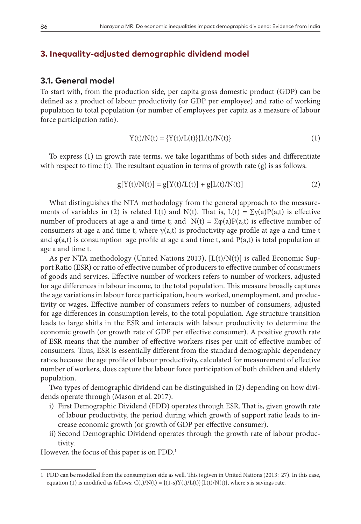### **3. Inequality-adjusted demographic dividend model**

### **3.1. General model**

To start with, from the production side, per capita gross domestic product (GDP) can be defined as a product of labour productivity (or GDP per employee) and ratio of working population to total population (or number of employees per capita as a measure of labour force participation ratio).

$$
Y(t)/N(t) = {Y(t)/L(t)}{L(t)/N(t)}
$$
\n(1)

To express (1) in growth rate terms, we take logarithms of both sides and differentiate with respect to time (t). The resultant equation in terms of growth rate (g) is as follows.

$$
g[Y(t)/N(t)] = g[Y(t)/L(t)] + g[L(t)/N(t)]
$$
\n(2)

What distinguishes the NTA methodology from the general approach to the measurements of variables in (2) is related L(t) and N(t). That is, L(t) =  $\Sigma \gamma(a)P(a,t)$  is effective number of producers at age a and time t; and  $N(t) = \sum \varphi(a)P(a,t)$  is effective number of consumers at age a and time t, where  $\gamma(a,t)$  is productivity age profile at age a and time t and  $\varphi$ (a,t) is consumption age profile at age a and time t, and P(a,t) is total population at age a and time t.

As per NTA methodology (United Nations 2013),  $[L(t)/N(t)]$  is called Economic Support Ratio (ESR) or ratio of effective number of producers to effective number of consumers of goods and services. Effective number of workers refers to number of workers, adjusted for age differences in labour income, to the total population. This measure broadly captures the age variations in labour force participation, hours worked, unemployment, and productivity or wages. Effective number of consumers refers to number of consumers, adjusted for age differences in consumption levels, to the total population. Age structure transition leads to large shifts in the ESR and interacts with labour productivity to determine the economic growth (or growth rate of GDP per effective consumer). A positive growth rate of ESR means that the number of effective workers rises per unit of effective number of consumers. Thus, ESR is essentially different from the standard demographic dependency ratios because the age profile of labour productivity, calculated for measurement of effective number of workers, does capture the labour force participation of both children and elderly population.

Two types of demographic dividend can be distinguished in (2) depending on how dividends operate through (Mason et al. 2017).

- i) First Demographic Dividend (FDD) operates through ESR. That is, given growth rate of labour productivity, the period during which growth of support ratio leads to increase economic growth (or growth of GDP per effective consumer).
- ii) Second Demographic Dividend operates through the growth rate of labour productivity.

However, the focus of this paper is on FDD.<sup>1</sup>

<sup>1</sup> FDD can be modelled from the consumption side as well. This is given in United Nations (2013: 27). In this case, equation (1) is modified as follows:  $C(t)/N(t) = \{(1-s)Y(t)/L(t)\}$   $[L(t)/N(t)]$ , where s is savings rate.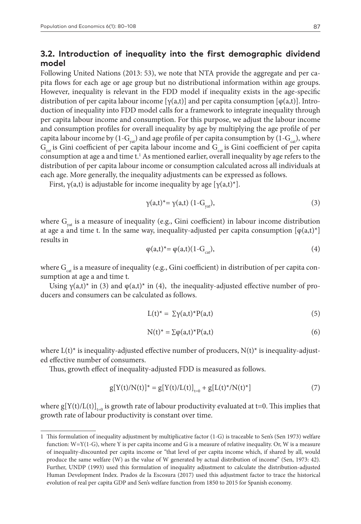### **3.2. Introduction of inequality into the first demographic dividend model**

Following United Nations (2013: 53), we note that NTA provide the aggregate and per capita flows for each age or age group but no distributional information within age groups. However, inequality is relevant in the FDD model if inequality exists in the age-specific distribution of per capita labour income  $[\gamma(a,t)]$  and per capita consumption  $[\varphi(a,t)]$ . Introduction of inequality into FDD model calls for a framework to integrate inequality through per capita labour income and consumption. For this purpose, we adjust the labour income and consumption profiles for overall inequality by age by multiplying the age profile of per capita labour income by  $(1-G_{\text{out}})$  and age profile of per capita consumption by  $(1-G_{\text{out}})$ , where  $G_{\text{out}}$  is Gini coefficient of per capita labour income and  $G_{\text{cat}}$  is Gini coefficient of per capita consumption at age a and time  $t<sup>1</sup>$  As mentioned earlier, overall inequality by age refers to the distribution of per capita labour income or consumption calculated across all individuals at each age. More generally, the inequality adjustments can be expressed as follows.

First,  $\gamma(a,t)$  is adjustable for income inequality by age  $[\gamma(a,t)^*]$ .

$$
\gamma(a,t)^* = \gamma(a,t) \left(1 - G_{\text{yat}}\right),\tag{3}
$$

where  $G_{vat}$  is a measure of inequality (e.g., Gini coefficient) in labour income distribution at age a and time t. In the same way, inequality-adjusted per capita consumption  $[\varphi(a,t)^*]$ results in

$$
\varphi(a,t)^* = \varphi(a,t)(1 - G_{\text{cat}}),\tag{4}
$$

where  $G_{\text{cat}}$  is a measure of inequality (e.g., Gini coefficient) in distribution of per capita consumption at age a and time t.

Using  $\gamma(a,t)^*$  in (3) and  $\varphi(a,t)^*$  in (4), the inequality-adjusted effective number of producers and consumers can be calculated as follows.

$$
L(t)^* = \Sigma \gamma(a,t)^* P(a,t) \tag{5}
$$

$$
N(t)^* = \sum \varphi(a,t)^* P(a,t) \tag{6}
$$

where  $L(t)^*$  is inequality-adjusted effective number of producers,  $N(t)^*$  is inequality-adjusted effective number of consumers.

Thus, growth effect of inequality-adjusted FDD is measured as follows.

$$
g[Y(t)/N(t)]^* = g[Y(t)/L(t)]_{t=0} + g[L(t)^*/N(t)^*]
$$
\n(7)

where  $g[Y(t)/L(t)]_{t=0}$  is growth rate of labour productivity evaluated at t=0. This implies that growth rate of labour productivity is constant over time.

<sup>1</sup> This formulation of inequality adjustment by multiplicative factor (1-G) is traceable to Sen's (Sen 1973) welfare function: W=Y(1-G), where Y is per capita income and G is a measure of relative inequality. Or, W is a measure of inequality-discounted per capita income or "that level of per capita income which, if shared by all, would produce the same welfare (W) as the value of W generated by actual distribution of income" (Sen, 1973: 42). Further, UNDP (1993) used this formulation of inequality adjustment to calculate the distribution-adjusted Human Development Index. Prados de la Escosura (2017) used this adjustment factor to trace the historical evolution of real per capita GDP and Sen's welfare function from 1850 to 2015 for Spanish economy.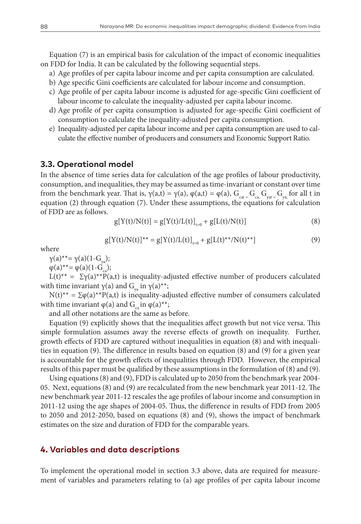Equation (7) is an empirical basis for calculation of the impact of economic inequalities on FDD for India. It can be calculated by the following sequential steps.

- a) Age profiles of per capita labour income and per capita consumption are calculated.
- b) Age specific Gini coefficients are calculated for labour income and consumption.
- c) Age profile of per capita labour income is adjusted for age-specific Gini coefficient of labour income to calculate the inequality-adjusted per capita labour income.
- d) Age profile of per capita consumption is adjusted for age-specific Gini coefficient of consumption to calculate the inequality-adjusted per capita consumption.
- e) Inequality-adjusted per capita labour income and per capita consumption are used to calculate the effective number of producers and consumers and Economic Support Ratio.

### **3.3. Operational model**

In the absence of time series data for calculation of the age profiles of labour productivity, consumption, and inequalities, they may be assumed as time-invariant or constant over time from the benchmark year. That is,  $\gamma(a,t) = \gamma(a)$ ,  $\varphi(a,t) = \varphi(a)$ ,  $G_{cat} = G_{ca}$ ,  $G_{vat} = G_{va}$  for all t in equation (2) through equation (7). Under these assumptions, the equations for calculation of FDD are as follows.

$$
g[Y(t)/N(t)] = g[Y(t)/L(t)]_{t=0} + g[L(t)/N(t)]
$$
\n(8)

$$
g[Y(t)/N(t)]^{**} = g[Y(t)/L(t)]_{t=0} + g[L(t)^{**}/N(t)^{**}]
$$
\n(9)

where

$$
\gamma(a)^{**} = \gamma(a)(1 - G_{y_a});
$$

 $\varphi(a)^{**} = \varphi(a)(1-G_{ca});$ 

L(t)<sup>\*\*</sup> =  $\Sigma$ γ(a)<sup>\*\*</sup>P(a,t) is inequality-adjusted effective number of producers calculated with time invariant  $γ(a)$  and  $G_{\varphi}$  in  $γ(a)**;$ 

N(t)<sup>\*\*</sup> =  $\Sigma \varphi(a)$ <sup>\*\*</sup>P(a,t) is inequality-adjusted effective number of consumers calculated with time invariant  $\varphi(a)$  and  $G_{\varphi}$  in  $\varphi(a)^{**}$ ;

and all other notations are the same as before.

Equation (9) explicitly shows that the inequalities affect growth but not vice versa. This simple formulation assumes away the reverse effects of growth on inequality. Further, growth effects of FDD are captured without inequalities in equation (8) and with inequalities in equation (9). The difference in results based on equation (8) and (9) for a given year is accountable for the growth effects of inequalities through FDD. However, the empirical results of this paper must be qualified by these assumptions in the formulation of (8) and (9).

Using equations (8) and (9), FDD is calculated up to 2050 from the benchmark year 2004- 05. Next, equations (8) and (9) are recalculated from the new benchmark year 2011-12. The new benchmark year 2011-12 rescales the age profiles of labour income and consumption in 2011-12 using the age shapes of 2004-05. Thus, the difference in results of FDD from 2005 to 2050 and 2012-2050, based on equations (8) and (9), shows the impact of benchmark estimates on the size and duration of FDD for the comparable years.

### **4. Variables and data descriptions**

To implement the operational model in section 3.3 above, data are required for measurement of variables and parameters relating to (a) age profiles of per capita labour income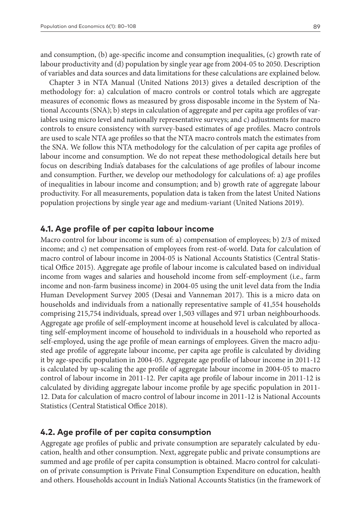and consumption, (b) age-specific income and consumption inequalities, (c) growth rate of labour productivity and (d) population by single year age from 2004-05 to 2050. Description of variables and data sources and data limitations for these calculations are explained below.

Chapter 3 in NTA Manual (United Nations 2013) gives a detailed description of the methodology for: a) calculation of macro controls or control totals which are aggregate measures of economic flows as measured by gross disposable income in the System of National Accounts (SNA); b) steps in calculation of aggregate and per capita age profiles of variables using micro level and nationally representative surveys; and c) adjustments for macro controls to ensure consistency with survey-based estimates of age profiles. Macro controls are used to scale NTA age profiles so that the NTA macro controls match the estimates from the SNA. We follow this NTA methodology for the calculation of per capita age profiles of labour income and consumption. We do not repeat these methodological details here but focus on describing India's databases for the calculations of age profiles of labour income and consumption. Further, we develop our methodology for calculations of: a) age profiles of inequalities in labour income and consumption; and b) growth rate of aggregate labour productivity. For all measurements, population data is taken from the latest United Nations population projections by single year age and medium-variant (United Nations 2019).

#### **4.1. Age profile of per capita labour income**

Macro control for labour income is sum of: a) compensation of employees; b) 2/3 of mixed income; and c) net compensation of employees from rest-of-world. Data for calculation of macro control of labour income in 2004-05 is National Accounts Statistics (Central Statistical Office 2015). Aggregate age profile of labour income is calculated based on individual income from wages and salaries and household income from self-employment (i.e., farm income and non-farm business income) in 2004-05 using the unit level data from the India Human Development Survey 2005 (Desai and Vanneman 2017). This is a micro data on households and individuals from a nationally representative sample of 41,554 households comprising 215,754 individuals, spread over 1,503 villages and 971 urban neighbourhoods. Aggregate age profile of self-employment income at household level is calculated by allocating self-employment income of household to individuals in a household who reported as self-employed, using the age profile of mean earnings of employees. Given the macro adjusted age profile of aggregate labour income, per capita age profile is calculated by dividing it by age-specific population in 2004-05. Aggregate age profile of labour income in 2011-12 is calculated by up-scaling the age profile of aggregate labour income in 2004-05 to macro control of labour income in 2011-12. Per capita age profile of labour income in 2011-12 is calculated by dividing aggregate labour income profile by age specific population in 2011- 12. Data for calculation of macro control of labour income in 2011-12 is National Accounts Statistics (Central Statistical Office 2018).

### **4.2. Age profile of per capita consumption**

Aggregate age profiles of public and private consumption are separately calculated by education, health and other consumption. Next, aggregate public and private consumptions are summed and age profile of per capita consumption is obtained. Macro control for calculation of private consumption is Private Final Consumption Expenditure on education, health and others. Households account in India's National Accounts Statistics (in the framework of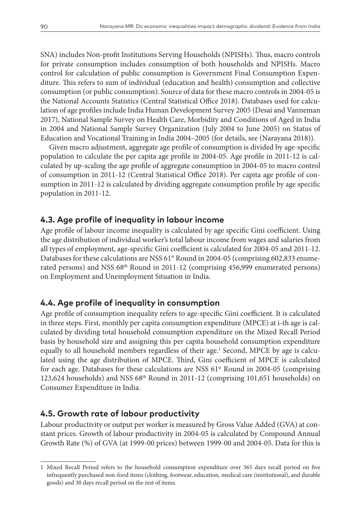SNA) includes Non-profit Institutions Serving Households (NPISHs). Thus, macro controls for private consumption includes consumption of both households and NPISHs. Macro control for calculation of public consumption is Government Final Consumption Expenditure. This refers to sum of individual (education and health) consumption and collective consumption (or public consumption). Source of data for these macro controls in 2004-05 is the National Accounts Statistics (Central Statistical Office 2018). Databases used for calculation of age profiles include India Human Development Survey 2005 (Desai and Vanneman 2017), National Sample Survey on Health Care, Morbidity and Conditions of Aged in India in 2004 and National Sample Survey Organization (July 2004 to June 2005) on Status of Education and Vocational Training in India 2004–2005 (for details, see (Narayana 2018)).

Given macro adjustment, aggregate age profile of consumption is divided by age-specific population to calculate the per capita age profile in 2004-05. Age profile in 2011-12 is calculated by up-scaling the age profile of aggregate consumption in 2004-05 to macro control of consumption in 2011-12 (Central Statistical Office 2018). Per capita age profile of consumption in 2011-12 is calculated by dividing aggregate consumption profile by age specific population in 2011-12.

### **4.3. Age profile of inequality in labour income**

Age profile of labour income inequality is calculated by age specific Gini coefficient. Using the age distribution of individual worker's total labour income from wages and salaries from all types of employment, age-specific Gini coefficient is calculated for 2004-05 and 2011-12. Databases for these calculations are NSS 61<sup>st</sup> Round in 2004-05 (comprising 602,833 enumerated persons) and NSS 68<sup>th</sup> Round in 2011-12 (comprising 456,999 enumerated persons) on Employment and Unemployment Situation in India.

### **4.4. Age profile of inequality in consumption**

Age profile of consumption inequality refers to age-specific Gini coefficient. It is calculated in three steps. First, monthly per capita consumption expenditure (MPCE) at i-th age is calculated by dividing total household consumption expenditure on the Mixed Recall Period basis by household size and assigning this per capita household consumption expenditure equally to all household members regardless of their age.<sup>1</sup> Second, MPCE by age is calculated using the age distribution of MPCE. Third, Gini coefficient of MPCE is calculated for each age. Databases for these calculations are NSS  $61<sup>st</sup>$  Round in 2004-05 (comprising 123,624 households) and NSS 68th Round in 2011-12 (comprising 101,651 households) on Consumer Expenditure in India.

### **4.5. Growth rate of labour productivity**

Labour productivity or output per worker is measured by Gross Value Added (GVA) at constant prices. Growth of labour productivity in 2004-05 is calculated by Compound Annual Growth Rate (%) of GVA (at 1999-00 prices) between 1999-00 and 2004-05. Data for this is

<sup>1</sup> Mixed Recall Period refers to the household consumption expenditure over 365 days recall period on five infrequently purchased non-food items (clothing, footwear, education, medical care (institutional), and durable goods) and 30 days recall period on the rest of items.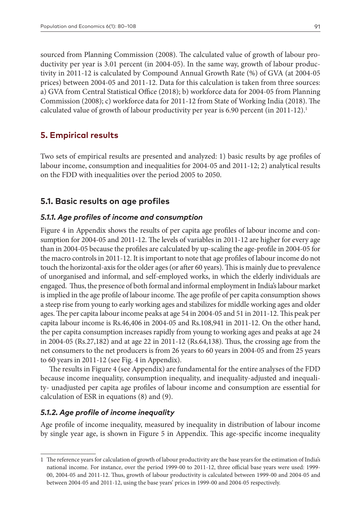sourced from Planning Commission (2008). The calculated value of growth of labour productivity per year is 3.01 percent (in 2004-05). In the same way, growth of labour productivity in 2011-12 is calculated by Compound Annual Growth Rate (%) of GVA (at 2004-05 prices) between 2004-05 and 2011-12. Data for this calculation is taken from three sources: a) GVA from Central Statistical Office (2018); b) workforce data for 2004-05 from Planning Commission (2008); c) workforce data for 2011-12 from State of Working India (2018). The calculated value of growth of labour productivity per year is 6.90 percent (in 2011-12).<sup>1</sup>

### **5. Empirical results**

Two sets of empirical results are presented and analyzed: 1) basic results by age profiles of labour income, consumption and inequalities for 2004-05 and 2011-12; 2) analytical results on the FDD with inequalities over the period 2005 to 2050.

### **5.1. Basic results on age profiles**

#### *5.1.1. Age profiles of income and consumption*

Figure 4 in Appendix shows the results of per capita age profiles of labour income and consumption for 2004-05 and 2011-12. The levels of variables in 2011-12 are higher for every age than in 2004-05 because the profiles are calculated by up-scaling the age-profile in 2004-05 for the macro controls in 2011-12. It is important to note that age profiles of labour income do not touch the horizontal-axis for the older ages (or after 60 years). This is mainly due to prevalence of unorganised and informal, and self-employed works, in which the elderly individuals are engaged. Thus, the presence of both formal and informal employment in India's labour market is implied in the age profile of labour income. The age profile of per capita consumption shows a steep rise from young to early working ages and stabilizes for middle working ages and older ages. The per capita labour income peaks at age 54 in 2004-05 and 51 in 2011-12. This peak per capita labour income is Rs.46,406 in 2004-05 and Rs.108,941 in 2011-12. On the other hand, the per capita consumption increases rapidly from young to working ages and peaks at age 24 in 2004-05 (Rs.27,182) and at age 22 in 2011-12 (Rs.64,138). Thus, the crossing age from the net consumers to the net producers is from 26 years to 60 years in 2004-05 and from 25 years to 60 years in 2011-12 (see Fig. 4 in Appendix).

The results in Figure 4 (see Appendix) are fundamental for the entire analyses of the FDD because income inequality, consumption inequality, and inequality-adjusted and inequality- unadjusted per capita age profiles of labour income and consumption are essential for calculation of ESR in equations (8) and (9).

### *5.1.2. Age profile of income inequality*

Age profile of income inequality, measured by inequality in distribution of labour income by single year age, is shown in Figure 5 in Appendix. This age-specific income inequality

<sup>1</sup> The reference years for calculation of growth of labour productivity are the base years for the estimation of India's national income. For instance, over the period 1999-00 to 2011-12, three official base years were used: 1999- 00, 2004-05 and 2011-12. Thus, growth of labour productivity is calculated between 1999-00 and 2004-05 and between 2004-05 and 2011-12, using the base years' prices in 1999-00 and 2004-05 respectively.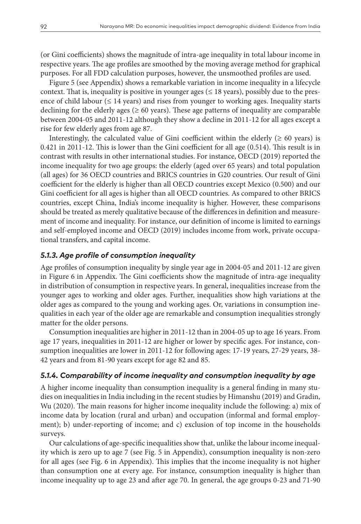(or Gini coefficients) shows the magnitude of intra-age inequality in total labour income in respective years. The age profiles are smoothed by the moving average method for graphical purposes. For all FDD calculation purposes, however, the unsmoothed profiles are used.

Figure 5 (see Appendix) shows a remarkable variation in income inequality in a lifecycle context. That is, inequality is positive in younger ages ( $\leq$  18 years), possibly due to the presence of child labour ( $\leq 14$  years) and rises from younger to working ages. Inequality starts declining for the elderly ages ( $\geq 60$  years). These age patterns of inequality are comparable between 2004-05 and 2011-12 although they show a decline in 2011-12 for all ages except a rise for few elderly ages from age 87.

Interestingly, the calculated value of Gini coefficient within the elderly  $(≥ 60 years)$  is 0.421 in 2011-12. This is lower than the Gini coefficient for all age (0.514). This result is in contrast with results in other international studies. For instance, OECD (2019) reported the income inequality for two age groups: the elderly (aged over 65 years) and total population (all ages) for 36 OECD countries and BRICS countries in G20 countries. Our result of Gini coefficient for the elderly is higher than all OECD countries except Mexico (0.500) and our Gini coefficient for all ages is higher than all OECD countries. As compared to other BRICS countries, except China, India's income inequality is higher. However, these comparisons should be treated as merely qualitative because of the differences in definition and measurement of income and inequality. For instance, our definition of income is limited to earnings and self-employed income and OECD (2019) includes income from work, private occupational transfers, and capital income.

#### *5.1.3. Age profile of consumption inequality*

Age profiles of consumption inequality by single year age in 2004-05 and 2011-12 are given in Figure 6 in Appendix. The Gini coefficients show the magnitude of intra-age inequality in distribution of consumption in respective years. In general, inequalities increase from the younger ages to working and older ages. Further, inequalities show high variations at the older ages as compared to the young and working ages. Or, variations in consumption inequalities in each year of the older age are remarkable and consumption inequalities strongly matter for the older persons.

Consumption inequalities are higher in 2011-12 than in 2004-05 up to age 16 years. From age 17 years, inequalities in 2011-12 are higher or lower by specific ages. For instance, consumption inequalities are lower in 2011-12 for following ages: 17-19 years, 27-29 years, 38- 42 years and from 81-90 years except for age 82 and 85.

### *5.1.4. Comparability of income inequality and consumption inequality by age*

A higher income inequality than consumption inequality is a general finding in many studies on inequalities in India including in the recent studies by Himanshu (2019) and Gradin, Wu (2020). The main reasons for higher income inequality include the following: a) mix of income data by location (rural and urban) and occupation (informal and formal employment); b) under-reporting of income; and c) exclusion of top income in the households surveys.

Our calculations of age-specific inequalities show that, unlike the labour income inequality which is zero up to age 7 (see Fig. 5 in Appendix), consumption inequality is non-zero for all ages (see Fig. 6 in Appendix). This implies that the income inequality is not higher than consumption one at every age. For instance, consumption inequality is higher than income inequality up to age 23 and after age 70. In general, the age groups 0-23 and 71-90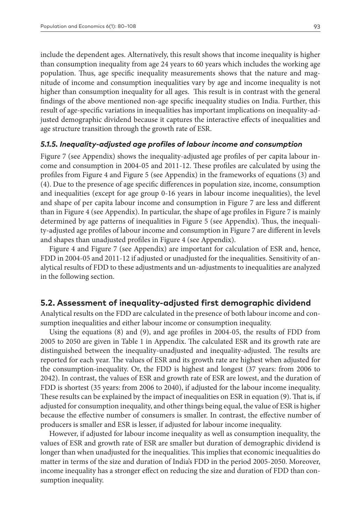include the dependent ages. Alternatively, this result shows that income inequality is higher than consumption inequality from age 24 years to 60 years which includes the working age population. Thus, age specific inequality measurements shows that the nature and magnitude of income and consumption inequalities vary by age and income inequality is not higher than consumption inequality for all ages. This result is in contrast with the general findings of the above mentioned non-age specific inequality studies on India. Further, this result of age-specific variations in inequalities has important implications on inequality-adjusted demographic dividend because it captures the interactive effects of inequalities and age structure transition through the growth rate of ESR.

#### *5.1.5. Inequality-adjusted age profiles of labour income and consumption*

Figure 7 (see Appendix) shows the inequality-adjusted age profiles of per capita labour income and consumption in 2004-05 and 2011-12. These profiles are calculated by using the profiles from Figure 4 and Figure 5 (see Appendix) in the frameworks of equations (3) and (4). Due to the presence of age specific differences in population size, income, consumption and inequalities (except for age group 0-16 years in labour income inequalities), the level and shape of per capita labour income and consumption in Figure 7 are less and different than in Figure 4 (see Appendix). In particular, the shape of age profiles in Figure 7 is mainly determined by age patterns of inequalities in Figure 5 (see Appendix). Thus, the inequality-adjusted age profiles of labour income and consumption in Figure 7 are different in levels and shapes than unadjusted profiles in Figure 4 (see Appendix).

Figure 4 and Figure 7 (see Appendix) are important for calculation of ESR and, hence, FDD in 2004-05 and 2011-12 if adjusted or unadjusted for the inequalities. Sensitivity of analytical results of FDD to these adjustments and un-adjustments to inequalities are analyzed in the following section.

#### **5.2. Assessment of inequality-adjusted first demographic dividend**

Analytical results on the FDD are calculated in the presence of both labour income and consumption inequalities and either labour income or consumption inequality.

Using the equations (8) and (9), and age profiles in 2004-05, the results of FDD from 2005 to 2050 are given in Table 1 in Appendix. The calculated ESR and its growth rate are distinguished between the inequality-unadjusted and inequality-adjusted. The results are reported for each year. The values of ESR and its growth rate are highest when adjusted for the consumption-inequality. Or, the FDD is highest and longest (37 years: from 2006 to 2042). In contrast, the values of ESR and growth rate of ESR are lowest, and the duration of FDD is shortest (35 years: from 2006 to 2040), if adjusted for the labour income inequality. These results can be explained by the impact of inequalities on ESR in equation (9). That is, if adjusted for consumption inequality, and other things being equal, the value of ESR is higher because the effective number of consumers is smaller. In contrast, the effective number of producers is smaller and ESR is lesser, if adjusted for labour income inequality.

However, if adjusted for labour income inequality as well as consumption inequality, the values of ESR and growth rate of ESR are smaller but duration of demographic dividend is longer than when unadjusted for the inequalities. This implies that economic inequalities do matter in terms of the size and duration of India's FDD in the period 2005-2050. Moreover, income inequality has a stronger effect on reducing the size and duration of FDD than consumption inequality.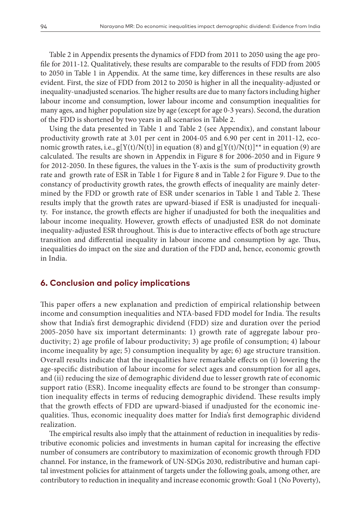Table 2 in Appendix presents the dynamics of FDD from 2011 to 2050 using the age profile for 2011-12. Qualitatively, these results are comparable to the results of FDD from 2005 to 2050 in Table 1 in Appendix. At the same time, key differences in these results are also evident. First, the size of FDD from 2012 to 2050 is higher in all the inequality-adjusted or inequality-unadjusted scenarios. The higher results are due to many factors including higher labour income and consumption, lower labour income and consumption inequalities for many ages, and higher population size by age (except for age 0-3 years). Second, the duration of the FDD is shortened by two years in all scenarios in Table 2.

Using the data presented in Table 1 and Table 2 (see Appendix), and constant labour productivity growth rate at 3.01 per cent in 2004-05 and 6.90 per cent in 2011-12, economic growth rates, i.e.,  $g[Y(t)/N(t)]$  in equation (8) and  $g[Y(t)/N(t)]^{**}$  in equation (9) are calculated. The results are shown in Appendix in Figure 8 for 2006-2050 and in Figure 9 for 2012-2050. In these figures, the values in the Y-axis is the sum of productivity growth rate and growth rate of ESR in Table 1 for Figure 8 and in Table 2 for Figure 9. Due to the constancy of productivity growth rates, the growth effects of inequality are mainly determined by the FDD or growth rate of ESR under scenarios in Table 1 and Table 2. These results imply that the growth rates are upward-biased if ESR is unadjusted for inequality. For instance, the growth effects are higher if unadjusted for both the inequalities and labour income inequality. However, growth effects of unadjusted ESR do not dominate inequality-adjusted ESR throughout. This is due to interactive effects of both age structure transition and differential inequality in labour income and consumption by age. Thus, inequalities do impact on the size and duration of the FDD and, hence, economic growth in India.

#### **6. Conclusion and policy implications**

This paper offers a new explanation and prediction of empirical relationship between income and consumption inequalities and NTA-based FDD model for India. The results show that India's first demographic dividend (FDD) size and duration over the period 2005-2050 have six important determinants: 1) growth rate of aggregate labour productivity; 2) age profile of labour productivity; 3) age profile of consumption; 4) labour income inequality by age; 5) consumption inequality by age; 6) age structure transition. Overall results indicate that the inequalities have remarkable effects on (i) lowering the age-specific distribution of labour income for select ages and consumption for all ages, and (ii) reducing the size of demographic dividend due to lesser growth rate of economic support ratio (ESR). Income inequality effects are found to be stronger than consumption inequality effects in terms of reducing demographic dividend. These results imply that the growth effects of FDD are upward-biased if unadjusted for the economic inequalities. Thus, economic inequality does matter for India's first demographic dividend realization.

The empirical results also imply that the attainment of reduction in inequalities by redistributive economic policies and investments in human capital for increasing the effective number of consumers are contributory to maximization of economic growth through FDD channel. For instance, in the framework of UN-SDGs 2030, redistributive and human capital investment policies for attainment of targets under the following goals, among other, are contributory to reduction in inequality and increase economic growth: Goal 1 (No Poverty),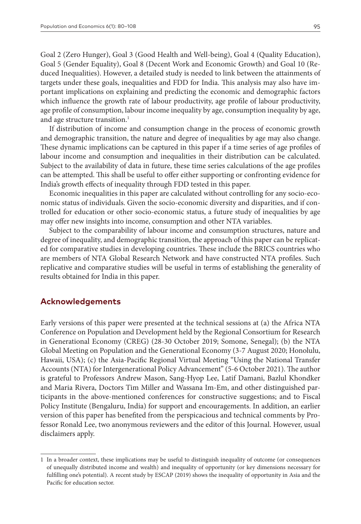Goal 2 (Zero Hunger), Goal 3 (Good Health and Well-being), Goal 4 (Quality Education), Goal 5 (Gender Equality), Goal 8 (Decent Work and Economic Growth) and Goal 10 (Reduced Inequalities). However, a detailed study is needed to link between the attainments of targets under these goals, inequalities and FDD for India. This analysis may also have important implications on explaining and predicting the economic and demographic factors which influence the growth rate of labour productivity, age profile of labour productivity, age profile of consumption, labour income inequality by age, consumption inequality by age, and age structure transition.<sup>1</sup>

If distribution of income and consumption change in the process of economic growth and demographic transition, the nature and degree of inequalities by age may also change. These dynamic implications can be captured in this paper if a time series of age profiles of labour income and consumption and inequalities in their distribution can be calculated. Subject to the availability of data in future, these time series calculations of the age profiles can be attempted. This shall be useful to offer either supporting or confronting evidence for India's growth effects of inequality through FDD tested in this paper.

Economic inequalities in this paper are calculated without controlling for any socio-economic status of individuals. Given the socio-economic diversity and disparities, and if controlled for education or other socio-economic status, a future study of inequalities by age may offer new insights into income, consumption and other NTA variables.

Subject to the comparability of labour income and consumption structures, nature and degree of inequality, and demographic transition, the approach of this paper can be replicated for comparative studies in developing countries. These include the BRICS countries who are members of NTA Global Research Network and have constructed NTA profiles. Such replicative and comparative studies will be useful in terms of establishing the generality of results obtained for India in this paper.

#### **Acknowledgements**

Early versions of this paper were presented at the technical sessions at (a) the Africa NTA Conference on Population and Development held by the Regional Consortium for Research in Generational Economy (CREG) (28-30 October 2019; Somone, Senegal); (b) the NTA Global Meeting on Population and the Generational Economy (3-7 August 2020; Honolulu, Hawaii, USA); (c) the Asia-Pacific Regional Virtual Meeting "Using the National Transfer Accounts (NTA) for Intergenerational Policy Advancement" (5-6 October 2021). The author is grateful to Professors Andrew Mason, Sang-Hyop Lee, Latif Damani, Bazlul Khondker and Maria Rivera, Doctors Tim Miller and Wassana Im-Em, and other distinguished participants in the above-mentioned conferences for constructive suggestions; and to Fiscal Policy Institute (Bengaluru, India) for support and encouragements. In addition, an earlier version of this paper has benefited from the perspicacious and technical comments by Professor Ronald Lee, two anonymous reviewers and the editor of this Journal. However, usual disclaimers apply.

<sup>1</sup> In a broader context, these implications may be useful to distinguish inequality of outcome (or consequences of unequally distributed income and wealth) and inequality of opportunity (or key dimensions necessary for fulfilling one's potential). A recent study by ESCAP (2019) shows the inequality of opportunity in Asia and the Pacific for education sector.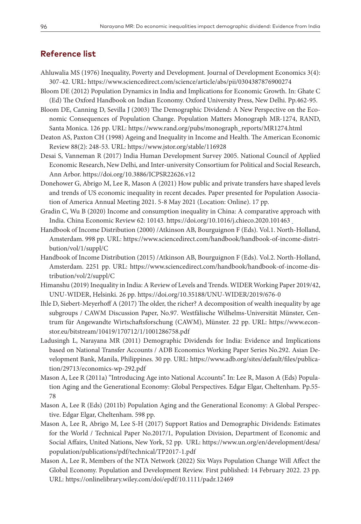### **Reference list**

- Ahluwalia MS (1976) Inequality, Poverty and Development. Journal of Development Economics 3(4): 307-42. URL: <https://www.sciencedirect.com/science/article/abs/pii/0304387876900274>
- Bloom DE (2012) Population Dynamics in India and Implications for Economic Growth. In: Ghate C (Ed) The Oxford Handbook on Indian Economy. Oxford University Press, New Delhi. Pp.462-95.

Bloom DE, Canning D, Sevilla J (2003) The Demographic Dividend: A New Perspective on the Economic Consequences of Population Change. Population Matters Monograph MR-1274, RAND, Santa Monica. 126 pp. URL: [https://www.rand.org/pubs/monograph\\_reports/MR1274.html](https://www.rand.org/pubs/monograph_reports/MR1274.html)

- Deaton AS, Paxton CH (1998) Ageing and Inequality in Income and Health. The American Economic Review 88(2): 248-53. URL:<https://www.jstor.org/stable/116928>
- Desai S, Vanneman R (2017) India Human Development Survey 2005. National Council of Applied Economic Research, New Delhi, and Inter-university Consortium for Political and Social Research, Ann Arbor.<https://doi.org/10.3886/ICPSR22626.v12>
- Donehower G, Abrigo M, Lee R, Mason A (2021) How public and private transfers have shaped levels and trends of US economic inequality in recent decades. Paper presented for Population Association of America Annual Meeting 2021. 5-8 May 2021 (Location: Online). 17 pp.
- Gradin C, Wu B (2020) Income and consumption inequality in China: A comparative approach with India. China Economic Review 62: 10143.<https://doi.org/10.1016/j.chieco.2020.101463>
- Handbook of Income Distribution (2000) /Atkinson AB, Bourguignon F (Eds). Vol.1. North-Holland, Amsterdam. 998 pp. URL: [https://www.sciencedirect.com/handbook/handbook-of-income-distri](https://www.sciencedirect.com/handbook/handbook-of-income-distribution/vol/1/suppl/C)[bution/vol/1/suppl/C](https://www.sciencedirect.com/handbook/handbook-of-income-distribution/vol/1/suppl/C)
- Handbook of Income Distribution (2015) /Atkinson AB, Bourguignon F (Eds). Vol.2. North-Holland, Amsterdam. 2251 pp. URL: [https://www.sciencedirect.com/handbook/handbook-of-income-dis](https://www.sciencedirect.com/handbook/handbook-of-income-distribution/vol/2/suppl/C)[tribution/vol/2/suppl/C](https://www.sciencedirect.com/handbook/handbook-of-income-distribution/vol/2/suppl/C)
- Himanshu (2019) Inequality in India: A Review of Levels and Trends. WIDER Working Paper 2019/42, UNU-WIDER, Helsinki. 26 pp.<https://doi.org/10.35188/UNU-WIDER/2019/676-0>
- Ihle D, Siebert-Meyerhoff A (2017) The older, the richer? A decomposition of wealth inequality by age subgroups / CAWM Discussion Paper, No.97. Westfälische Wilhelms-Universität Münster, Centrum für Angewandte Wirtschaftsforschung (CAWM), Münster. 22 pp. URL: [https://www.econ](https://www.econstor.eu/bitstream/10419/170712/1/1001286758.pdf)[stor.eu/bitstream/10419/170712/1/1001286758.pdf](https://www.econstor.eu/bitstream/10419/170712/1/1001286758.pdf)
- Ladusingh L, Narayana MR (2011) Demographic Dividends for India: Evidence and Implications based on National Transfer Accounts / ADB Economics Working Paper Series No.292. Asian Development Bank, Manila, Philippines. 30 pp. URL: [https://www.adb.org/sites/default/files/publica](https://www.adb.org/sites/default/files/publication/29713/economics-wp-292.pdf)[tion/29713/economics-wp-292.pdf](https://www.adb.org/sites/default/files/publication/29713/economics-wp-292.pdf)
- Mason A, Lee R (2011a) "Introducing Age into National Accounts". In: Lee R, Mason A (Eds) Population Aging and the Generational Economy: Global Perspectives. Edgar Elgar, Cheltenham. Pp.55- 78
- Mason A, Lee R (Eds) (2011b) Population Aging and the Generational Economy: A Global Perspective. Edgar Elgar, Cheltenham. 598 pp.
- Mason A, Lee R, Abrigo M, Lee S-H (2017) Support Ratios and Demographic Dividends: Estimates for the World / Technical Paper No.2017/1, Population Division, Department of Economic and Social Affairs, United Nations, New York, 52 pp. URL: [https://www.un.org/en/development/desa/](https://www.un.org/en/development/desa/population/publications/pdf/technical/TP2017-1.pdf) [population/publications/pdf/technical/TP2017-1.pdf](https://www.un.org/en/development/desa/population/publications/pdf/technical/TP2017-1.pdf)
- Mason A, Lee R, Members of the NTA Network (2022) Six Ways Population Change Will Affect the Global Economy. Population and Development Review. First published: 14 February 2022. 23 pp. URL: <https://onlinelibrary.wiley.com/doi/epdf/10.1111/padr.12469>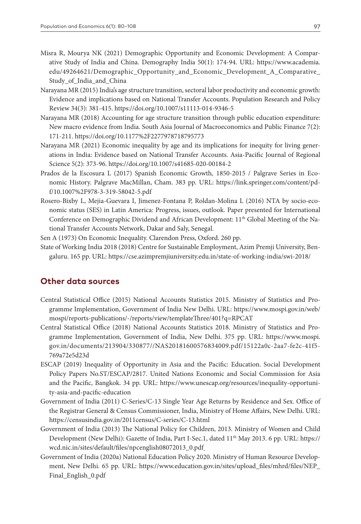- Misra R, Mourya NK (2021) Demographic Opportunity and Economic Development: A Comparative Study of India and China. Demography India 50(1): 174-94. URL: [https://www.academia.](https://www.academia.edu/49264621/Demographic_Opportunity_and_Economic_Development_A_Comparative_Study_of_India_and_China) [edu/49264621/Demographic\\_Opportunity\\_and\\_Economic\\_Development\\_A\\_Comparative\\_](https://www.academia.edu/49264621/Demographic_Opportunity_and_Economic_Development_A_Comparative_Study_of_India_and_China) [Study\\_of\\_India\\_and\\_China](https://www.academia.edu/49264621/Demographic_Opportunity_and_Economic_Development_A_Comparative_Study_of_India_and_China)
- Narayana MR (2015) India's age structure transition, sectoral labor productivity and economic growth: Evidence and implications based on National Transfer Accounts. Population Research and Policy Review 34(3): 381-415. <https://doi.org/10.1007/s11113-014-9346-5>
- Narayana MR (2018) Accounting for age structure transition through public education expenditure: New macro evidence from India. South Asia Journal of Macroeconomics and Public Finance 7(2): 171-211. [https://doi.org/10.1177%2F2277978718795773](https://doi.org/10.1177/2277978718795773)
- Narayana MR (2021) Economic inequality by age and its implications for inequity for living generations in India: Evidence based on National Transfer Accounts. Asia-Pacific Journal of Regional Science 5(2): 373-96. <https://doi.org/10.1007/s41685-020-00184-2>
- Prados de la Escosura L (2017) Spanish Economic Growth*,* 1850-2015 / Palgrave Series in Economic History. Palgrave MacMillan, Cham. 383 pp. URL: [https://link.springer.com/content/pd](https://link.springer.com/content/pdf/10.1007/978-3-319-58042-5.pdf)[f/10.1007%2F978-3-319-58042-5.pdf](https://link.springer.com/content/pdf/10.1007/978-3-319-58042-5.pdf)
- Rosero-Bixby L, Mejia-Guevara I, Jimenez-Fontana P, Roldan-Molina L (2016) NTA by socio-economic status (SES) in Latin America: Progress, issues, outlook. Paper presented for International Conference on Demographic Dividend and African Development: 11<sup>th</sup> Global Meeting of the National Transfer Accounts Network, Dakar and Saly, Senegal.
- Sen A (1973) On Economic Inequality. Clarendon Press, Oxford. 260 pp.
- State of Working India 2018 (2018) Centre for Sustainable Employment, Azim Premji University, Bengaluru. 165 pp. URL: <https://cse.azimpremjiuniversity.edu.in/state-of-working-india/swi-2018/>

### **Other data sources**

- Central Statistical Office (2015) National Accounts Statistics 2015. Ministry of Statistics and Programme Implementation, Government of India New Delhi. URL: [https://www.mospi.gov.in/web/](https://www.mospi.gov.in/web/mospi/reports-publications/-/reports/view/templateThree/401?q=RPCAT) [mospi/reports-publications/-/reports/view/templateThree/401?q=RPCAT](https://www.mospi.gov.in/web/mospi/reports-publications/-/reports/view/templateThree/401?q=RPCAT)
- Central Statistical Office (2018) National Accounts Statistics 2018. Ministry of Statistics and Programme Implementation, Government of India, New Delhi. 375 pp. URL: [https://www.mospi.](https://www.mospi.gov.in/documents/213904/330877//NAS20181600576834009.pdf/15122a0c-2aa7-fe2c-41f5-769a72e5d23d) [gov.in/documents/213904/330877//NAS20181600576834009.pdf/15122a0c-2aa7-fe2c-41f5-](https://www.mospi.gov.in/documents/213904/330877//NAS20181600576834009.pdf/15122a0c-2aa7-fe2c-41f5-769a72e5d23d) [769a72e5d23d](https://www.mospi.gov.in/documents/213904/330877//NAS20181600576834009.pdf/15122a0c-2aa7-fe2c-41f5-769a72e5d23d)
- ESCAP (2019) Inequality of Opportunity in Asia and the Pacific: Education. Social Development Policy Papers No.ST/ESCAP/2817. United Nations Economic and Social Commission for Asia and the Pacific, Bangkok. 34 pp. URL: [https://www.unescap.org/resources/inequality-opportuni](https://www.unescap.org/resources/inequality-opportunity-asia-and-pacific-education)[ty-asia-and-pacific-education](https://www.unescap.org/resources/inequality-opportunity-asia-and-pacific-education)
- Government of India (2011) C-Series/C-13 Single Year Age Returns by Residence and Sex. Office of the Registrar General & Census Commissioner, India, Ministry of Home Affairs, New Delhi. URL: <https://censusindia.gov.in/2011census/C-series/C-13.html>
- Government of India (2013) The National Policy for Children, 2013. Ministry of Women and Child Development (New Delhi): Gazette of India, Part I-Sec.1, dated 11<sup>th</sup> May 2013. 6 pp. URL: [https://](https://wcd.nic.in/sites/default/files/npcenglish08072013_0.pdf) [wcd.nic.in/sites/default/files/npcenglish08072013\\_0.pdf](https://wcd.nic.in/sites/default/files/npcenglish08072013_0.pdf)
- Government of India (2020a) National Education Policy 2020. Ministry of Human Resource Development, New Delhi. 65 pp. URL: [https://www.education.gov.in/sites/upload\\_files/mhrd/files/NEP\\_](https://www.education.gov.in/sites/upload_files/mhrd/files/NEP_Final_English_0.pdf) [Final\\_English\\_0.pdf](https://www.education.gov.in/sites/upload_files/mhrd/files/NEP_Final_English_0.pdf)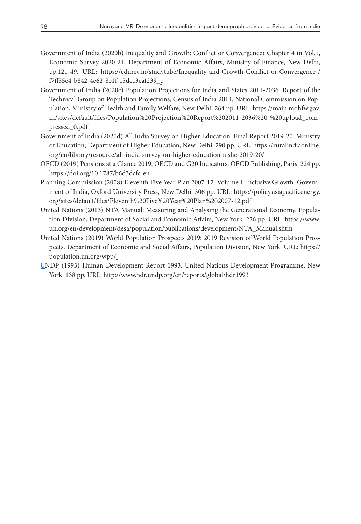- Government of India (2020b) Inequality and Growth: Conflict or Convergence? Chapter 4 in Vol.1, Economic Survey 2020-21, Department of Economic Affairs, Ministry of Finance, New Delhi, pp.121-49. URL: [https://edurev.in/studytube/Inequality-and-Growth-Conflict-or-Convergence-/](https://edurev.in/studytube/Inequality-and-Growth-Conflict-or-Convergence-/f7ff55e4-b842-4e62-8e1f-c5dcc3eaf239_p) [f7ff55e4-b842-4e62-8e1f-c5dcc3eaf239\\_p](https://edurev.in/studytube/Inequality-and-Growth-Conflict-or-Convergence-/f7ff55e4-b842-4e62-8e1f-c5dcc3eaf239_p)
- Government of India (2020c) Population Projections for India and States 2011-2036. Report of the Technical Group on Population Projections, Census of India 2011, National Commission on Population, Ministry of Health and Family Welfare, New Delhi. 264 pp. URL: [https://main.mohfw.gov.](https://main.mohfw.gov.in/sites/default/files/Population%20Projection%20Report%202011-2036%20-%20upload_compressed_0.pdf) [in/sites/default/files/Population%20Projection%20Report%202011-2036%20-%20upload\\_com](https://main.mohfw.gov.in/sites/default/files/Population%20Projection%20Report%202011-2036%20-%20upload_compressed_0.pdf)[pressed\\_0.pdf](https://main.mohfw.gov.in/sites/default/files/Population%20Projection%20Report%202011-2036%20-%20upload_compressed_0.pdf)
- Government of India (2020d) All India Survey on Higher Education. Final Report 2019-20. Ministry of Education, Department of Higher Education, New Delhi. 290 pp. URL: [https://ruralindiaonline.](https://ruralindiaonline.org/en/library/resource/all-india-survey-on-higher-education-aishe-2019-20/) [org/en/library/resource/all-india-survey-on-higher-education-aishe-2019-20/](https://ruralindiaonline.org/en/library/resource/all-india-survey-on-higher-education-aishe-2019-20/)
- OECD (2019) Pensions at a Glance 2019. OECD and G20 Indicators. OECD Publishing, Paris. 224 pp. <https://doi.org/10.1787/b6d3dcfc-en>
- Planning Commission (2008) Eleventh Five Year Plan 2007-12. Volume I. Inclusive Growth*.* Government of India, Oxford University Press, New Delhi. 306 pp. URL: [https://policy.asiapacificenergy.](https://policy.asiapacificenergy.org/sites/default/files/Eleventh%20Five%20Year%20Plan%202007-12.pdf) [org/sites/default/files/Eleventh%20Five%20Year%20Plan%202007-12.pdf](https://policy.asiapacificenergy.org/sites/default/files/Eleventh%20Five%20Year%20Plan%202007-12.pdf)
- United Nations (2013) NTA Manual: Measuring and Analysing the Generational Economy. Population Division, Department of Social and Economic Affairs, New York. 226 pp. URL: [https://www.](https://www.un.org/en/development/desa/population/publications/development/NTA_Manual.shtm) [un.org/en/development/desa/population/publications/development/NTA\\_Manual.shtm](https://www.un.org/en/development/desa/population/publications/development/NTA_Manual.shtm)
- United Nations (2019) World Population Prospects 2019: 2019 Revision of World Population Prospects. Department of Economic and Social Affairs, Population Division, New York. URL: [https://](https://population.un.org/wpp/) [population.un.org/wpp/](https://population.un.org/wpp/)
- UNDP (1993) Human Development Report 1993. United Nations Development Programme, New York. 138 pp. URL:<http://www.hdr.undp.org/en/reports/global/hdr1993>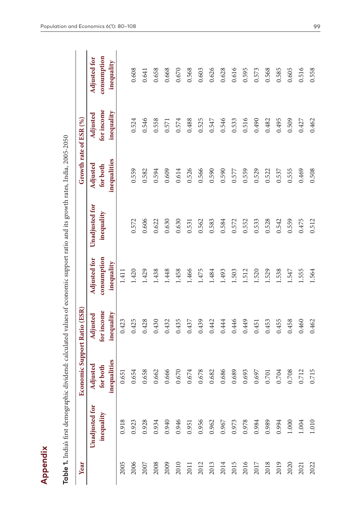| j                                                |
|--------------------------------------------------|
| ׇ֚֓֡                                             |
|                                                  |
|                                                  |
|                                                  |
| I                                                |
|                                                  |
| l                                                |
| ţ                                                |
|                                                  |
|                                                  |
| ï                                                |
|                                                  |
| l                                                |
| ļ                                                |
| i                                                |
| I<br>֚֚֡֡                                        |
| I                                                |
|                                                  |
| ֖֖֖֖֖֖֧֖֖֧֖֧֚֚֚֚֚֚֚֚֚֚֚֚֚֚֚֚֚֚֚֚֚֚֚֚֚֚֚֚֚֚֬֝֝֓֞֝ |
|                                                  |
|                                                  |
|                                                  |
|                                                  |
| ֕                                                |
| l                                                |
|                                                  |
| l<br>Ò                                           |
|                                                  |
| ļ                                                |
|                                                  |
|                                                  |
|                                                  |
|                                                  |
| l                                                |
|                                                  |
|                                                  |
|                                                  |
|                                                  |
|                                                  |
|                                                  |
|                                                  |
|                                                  |
| I                                                |
|                                                  |
| j                                                |
|                                                  |
|                                                  |
|                                                  |
|                                                  |
|                                                  |
|                                                  |
|                                                  |
|                                                  |
|                                                  |
| ì                                                |
|                                                  |
|                                                  |
|                                                  |
|                                                  |
|                                                  |
|                                                  |
|                                                  |
|                                                  |
|                                                  |
|                                                  |
|                                                  |
|                                                  |
|                                                  |
|                                                  |
|                                                  |
| j                                                |
| l                                                |
|                                                  |
|                                                  |
| $\frac{1}{10}$                                   |
|                                                  |
|                                                  |

| Year | Table 1. India's first demographic dividend: calculated values of economic support ratio and its growth rates, India, 2005-2050 | Economic Support Ratio (ESR)        |                                      |                                           |                              | Growth rate of ESR (%)               |                                      |                                                  |
|------|---------------------------------------------------------------------------------------------------------------------------------|-------------------------------------|--------------------------------------|-------------------------------------------|------------------------------|--------------------------------------|--------------------------------------|--------------------------------------------------|
|      |                                                                                                                                 |                                     |                                      |                                           |                              |                                      |                                      |                                                  |
|      | Unadjusted for<br>inequality                                                                                                    | inequalities<br>Adjusted<br>forboth | for income<br>inequality<br>Adjusted | consumption<br>Adjusted for<br>inequality | Unadjusted for<br>inequality | inequalities<br>Adjusted<br>for both | for income<br>inequality<br>Adjusted | consumption<br><b>Adjusted for</b><br>inequality |
| 2005 | 0.918                                                                                                                           | 0.651                               | 0.423                                | 1.411                                     |                              |                                      |                                      |                                                  |
| 2006 | 0.923                                                                                                                           | 0.654                               | 0.425                                | 1.420                                     | 0.572                        | 0.559                                | 0.524                                | 0.608                                            |
| 2007 | 0.928                                                                                                                           | 0.658                               | 0.428                                | 1.429                                     | 0.606                        | 0.582                                | 0.546                                | 0.641                                            |
| 2008 | 0.934                                                                                                                           | 0.662                               | 0.430                                | 1.438                                     | 0.622                        | 0.594                                | 0.558                                | 0.658                                            |
| 2009 | 0.940                                                                                                                           | 0.666                               | 0.432                                | 1.448                                     | 0.630                        | 0.609                                | 0.571                                | 0.668                                            |
| 2010 | 0.946                                                                                                                           | 0.670                               | 0.435                                | 1.458                                     | 0.630                        | 0.614                                | 0.574                                | 0.670                                            |
| 2011 | 0.951                                                                                                                           | 0.674                               | 0.437                                | 1.466                                     | 0.531                        | 0.526                                | 0.488                                | 0.568                                            |
| 2012 | 0.956                                                                                                                           | 0.678                               | 0.439                                | 1.475                                     | 0.562                        | 0.566                                | 0.525                                | 0.603                                            |
| 2013 | 0.962                                                                                                                           | 0.682                               | 0.442                                | 1.484                                     | 0.583                        | 0.590                                | 0.547                                | 0.626                                            |
| 2014 | 0.967                                                                                                                           | 0.686                               | 0.444                                | 1.493                                     | 0.584                        | 0.590                                | 0.546                                | 0.628                                            |
| 2015 | 0.973                                                                                                                           | 0.689                               | 0.446                                | 1.503                                     | 0.572                        | 0.577                                | 0.533                                | 0.616                                            |
| 2016 | 0.978                                                                                                                           | 0.693                               | 0.449                                | 1.512                                     | 0.552                        | 0.559                                | 0.516                                | 0.595                                            |
| 2017 | 0.984                                                                                                                           | 0.697                               | 0.451                                | 1.520                                     | 0.533                        | 0.529                                | 0.490                                | 0.573                                            |
| 2018 | 0.989                                                                                                                           | 0.701                               | 0.453                                | 1.529                                     | 0.528                        | 0.522                                | 0.482                                | 0.568                                            |
| 2019 | 0.994                                                                                                                           | 0.704                               | 0.455                                | 1.538                                     | 0.542                        | 0.537                                | 0.495                                | 0.585                                            |
| 2020 | 1.000                                                                                                                           | 0.708                               | 0.458                                | 1.547                                     | 0.559                        | 0.555                                | 0.509                                | 0.605                                            |
| 2021 | 1.004                                                                                                                           | 0.712                               | 0.460                                | 1.555                                     | 0.475                        | 0.469                                | 0.427                                | 0.516                                            |
| 2022 | $1.010$                                                                                                                         | 0.715                               | 0.462                                | 1.564                                     | 0.512                        | 0.508                                | 0.462                                | 0.558                                            |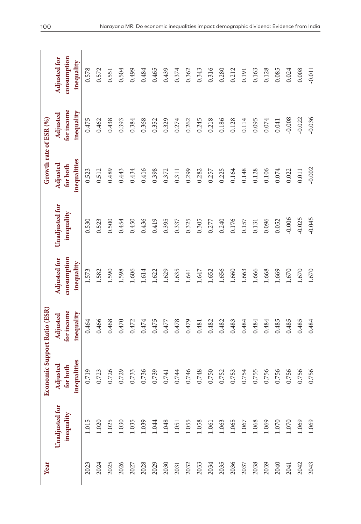| Year |                              | <b>Economic Support Ratio (ESR)</b> |                        |                                    |                              | Growth rate of ESR (%) |                        |                             |
|------|------------------------------|-------------------------------------|------------------------|------------------------------------|------------------------------|------------------------|------------------------|-----------------------------|
|      |                              |                                     |                        |                                    |                              |                        |                        |                             |
|      | Unadjusted for<br>inequality | Adjusted<br>forboth                 | for income<br>Adjusted | consumption<br><b>Adjusted for</b> | Unadjusted for<br>inequality | Adjusted<br>for both   | for income<br>Adjusted | consumption<br>Adjusted for |
|      |                              | inequalities                        | inequality             | inequality                         |                              | inequalities           | inequality             | inequality                  |
| 2023 | 1.015                        | 0.719                               | 0.464                  | 1.573                              | 0.530                        | 0.523                  | 0.475                  | 0.578                       |
| 2024 | 1.020                        | 0.723                               | 0.466                  | 1.582                              | 0.523                        | 0.512                  | 0.462                  | 0.572                       |
| 2025 | 1.025                        | 0.726                               | 0.468                  | 1.590                              | 0.500                        | 0.489                  | 0.438                  | 0.551                       |
| 2026 | 1.030                        | 0.729                               | 0.470                  | 1.598                              | 0.454                        | 0.443                  | 0.393                  | 0.504                       |
| 2027 | 1.035                        | 0.733                               | 0.472                  | 1.606                              | 0.450                        | 0.434                  | 0.384                  | 0.499                       |
| 2028 | 1.039                        | 0.736                               | 0.474                  | 1.614                              | 0.436                        | 0.416                  | 0.368                  | 0.484                       |
| 2029 | 1.044                        | 0.739                               | 0.475                  | 1.622                              | 0.419                        | 0.398                  | 0.352                  | 0.465                       |
| 2030 | 1.048                        | 0.741                               | $0.477\,$              | 1.629                              | 0.395                        | 0.372                  | 0.329                  | 0.439                       |
| 2031 | 1.051                        | 0.744                               | $0.478\,$              | 1.635                              | 0.337                        | 0.311                  | 0.274                  | 0.374                       |
| 2032 | 1.055                        | 0.746                               | 0.479                  | 1.641                              | 0.325                        | 0.299                  | 0.262                  | 0.362                       |
| 2033 | 1.058                        | 0.748                               | 0.481                  | 1.647                              | 0.305                        | 0.282                  | 0.245                  | 0.343                       |
| 2034 | 1.061                        | 0.750                               | 0.482                  | 1.652                              | 0.277                        | 0.257                  | 0.218                  | 0.316                       |
| 2035 | 1.063                        | 0.752                               | 0.482                  | 1.656                              | 0.240                        | 0.225                  | 0.186                  | 0.280                       |
| 2036 | 1.065                        | 0.753                               | 0.483                  | 1.660                              | 0.176                        | 0.164                  | 0.128                  | 0.212                       |
| 2037 | 1.067                        | 0.754                               | 0.484                  | 1.663                              | 0.157                        | 0.148                  | 0.114                  | 0.191                       |
| 2038 | 1.068                        | 0.755                               | 0.484                  | 1.666                              | 0.131                        | 0.128                  | 0.095                  | 0.163                       |
| 2039 | 1.069                        | 0.756                               | 0.484                  | 1.668                              | 0.096                        | 0.106                  | 0.074                  | 0.128                       |
| 2040 | 1.070                        | 0.756                               | 0.485                  | 1.669                              | 0.052                        | 0.074                  | 0.041                  | 0.085                       |
| 2041 | 1.070                        | 0.756                               | 0.485                  | 1.670                              | $-0.006$                     | 0.022                  | $-0.008$               | 0.024                       |
| 2042 | 1.069                        | 0.756                               | 0.485                  | 1.670                              | $-0.025$                     | 0.011                  | $-0.022$               | 0.008                       |
| 2043 | 1.069                        | 0.756                               | 0.484                  | 1.670                              | $-0.045$                     | $-0.002$               | $-0.036$               | $-0.011$                    |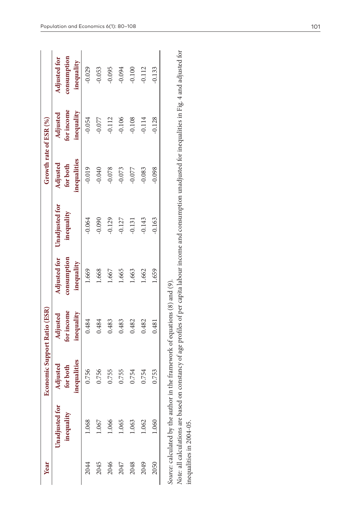| Year |                                                                                                                                                                  | Economic Support Ratio (ESR)         |                                      |                                                  |                              | Growth rate of ESR $(%)$             |                                      |                                                  |
|------|------------------------------------------------------------------------------------------------------------------------------------------------------------------|--------------------------------------|--------------------------------------|--------------------------------------------------|------------------------------|--------------------------------------|--------------------------------------|--------------------------------------------------|
|      | Unadjusted for<br>inequality                                                                                                                                     | inequalities<br>Adjusted<br>for both | for income<br>inequality<br>Adjusted | <b>Adjusted for</b><br>consumption<br>inequality | Unadjusted for<br>inequality | inequalities<br>Adjusted<br>for both | for income<br>inequality<br>Adjusted | consumption<br><b>Adjusted for</b><br>inequality |
| 2044 | 1.068                                                                                                                                                            | 0.756                                | 0.484                                | 1.669                                            | $-0.064$                     | $-0.019$                             | $-0.054$                             | $-0.029$                                         |
| 2045 | 1.067                                                                                                                                                            | 0.756                                | 0.484                                | 1.668                                            | $-0.090$                     | $-0.040$                             | $-0.077$                             | $-0.053$                                         |
| 2046 | 1.066                                                                                                                                                            | 0.755                                | 0.483                                | 1.667                                            | $-0.129$                     | $-0.078$                             | $-0.112$                             | $-0.095$                                         |
| 2047 | 1.065                                                                                                                                                            | 0.755                                | 0.483                                | 1.665                                            | $-0.127$                     | $-0.073$                             | $-0.106$                             | $-0.094$                                         |
| 2048 | 1.063                                                                                                                                                            | 0.754                                | 0.482                                | 1.663                                            | $-0.131$                     | $-0.077$                             | $-0.108$                             | $-0.100$                                         |
| 2049 | 1.062                                                                                                                                                            | 0.754                                | 0.482                                | 1.662                                            | $-0.143$                     | $-0.083$                             | 0.114                                | $-0.112$                                         |
| 2050 | 1.060                                                                                                                                                            | 0.753                                | 0.481                                | 1.659                                            | $-0.163$                     | $-0.098$                             | 0.128                                | $-0.133$                                         |
|      | Source: calculated by the author in the framework of equations (8) and (9).                                                                                      |                                      |                                      |                                                  |                              |                                      |                                      |                                                  |
|      | Note: all calculations are based on constancy of age profiles of per capita labour income and consumption unadjusted for inequalities in Fig. 4 and adjusted for |                                      |                                      |                                                  |                              |                                      |                                      |                                                  |
|      | inequalities in 2004-05.                                                                                                                                         |                                      |                                      |                                                  |                              |                                      |                                      |                                                  |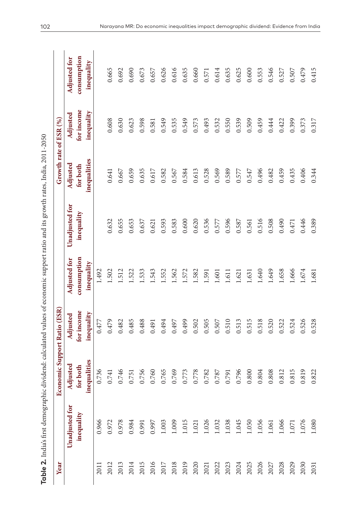| l<br>j   |
|----------|
|          |
|          |
|          |
| l        |
|          |
|          |
| j        |
| l        |
|          |
|          |
| l        |
|          |
|          |
|          |
| i        |
|          |
|          |
|          |
|          |
|          |
|          |
| l        |
|          |
| ١        |
|          |
| í        |
|          |
|          |
|          |
| i        |
|          |
|          |
|          |
|          |
|          |
|          |
|          |
|          |
|          |
|          |
|          |
|          |
|          |
|          |
|          |
| ţ        |
|          |
|          |
|          |
|          |
| i        |
|          |
| I        |
|          |
|          |
|          |
|          |
|          |
|          |
|          |
|          |
| l        |
| I<br>d   |
| ∩e<br>Je |
|          |
|          |

| Year |                | Economic Support Ratio (ESR) |                          |                           |                | Growth rate of ESR (%)   |                          |                           |
|------|----------------|------------------------------|--------------------------|---------------------------|----------------|--------------------------|--------------------------|---------------------------|
|      | Unadjusted for | Adjusted                     | Adjusted                 | Adjusted for              | Unadjusted for | Adjusted                 | Adjusted                 | <b>Adjusted for</b>       |
|      | inequality     | inequalities<br>forboth      | for income<br>inequality | consumption<br>inequality | inequality     | inequalities<br>for both | for income<br>inequality | consumption<br>inequality |
| 2011 | 0.966          | 0.736                        | 0.477                    | 1.492                     |                |                          |                          |                           |
| 2012 | 0.972          | 0.741                        | 0.479                    | 1.502                     | 0.632          | 0.641                    | 0.608                    | 0.665                     |
| 2013 | 0.978          | 0.746                        | 0.482                    | 1.512                     | 0.655          | 0.667                    | 0.630                    | 0.692                     |
| 2014 | 0.984          | 0.751                        | 0.485                    | 1.522                     | 0.653          | 0.659                    | 0.623                    | 0.690                     |
| 2015 | 0.991          | 0.756                        | 0.488                    | 1.533                     | 0.637          | 0.635                    | 0.598                    | 0.673                     |
| 2016 | 0.997          | 0.760                        | 0.491                    | 1.543                     | 0.621          | 0.617                    | 0.581                    | 0.657                     |
| 2017 | 1.003          | 0.765                        | 0.494                    | 1.552                     | 0.593          | 0.582                    | 0.549                    | 0.626                     |
| 2018 | 1.009          | 0.769                        | 0.497                    | 1.562                     | 0.583          | 0.567                    | 0.535                    | 0.616                     |
| 2019 | 1.015          | 0.773                        | 0.499                    | 1.572                     | 0.600          | 0.584                    | 0.549                    | 0.635                     |
| 2020 | 1.021          | 0.778                        | 0.502                    | 1.582                     | 0.620          | 0.613                    | 0.573                    | 0.660                     |
| 2021 | 1.026          | 0.782                        | 0.505                    | 1.591                     | 0.536          | 0.528                    | 0.493                    | 0.571                     |
| 2022 | 1.032          | 0.787                        | 0.507                    | 1.601                     | 0.577          | 0.569                    | 0.532                    | 0.614                     |
| 2023 | 1.038          | 0.791                        | 0.510                    | 1.611                     | 0.596          | 0.589                    | 0.550                    | 0.635                     |
| 2024 | 1.045          | 0.796                        | 0.513                    | 1.621                     | 0.587          | 0.577                    | 0.539                    | 0.625                     |
| 2025 | 1.050          | 0.800                        | 0.515                    | 1.631                     | 0.561          | 0.547                    | 0.509                    | 0.600                     |
| 2026 | 1.056          | 0.804                        | 0.518                    | 1.640                     | 0.516          | 0.496                    | 0.459                    | 0.553                     |
| 2027 | 1.061          | 0.808                        | 0.520                    | 1.649                     | 0.508          | 0.482                    | 0.444                    | 0.546                     |
| 2028 | 1.066          | 0.812                        | 0.522                    | 1.658                     | 0.490          | 0.459                    | 0.422                    | 0.527                     |
| 2029 | 1.071          | 0.815                        | 0.524                    | 1.666                     | 0.471          | 0.435                    | 0.399                    | 0.507                     |
| 2030 | 1.076          | 0.819                        | 0.526                    | $1.674\,$                 | 0.446          | 0.406                    | 0.373                    | 0.479                     |
| 2031 | 1.080          | 0.822                        | 0.528                    | 1.681                     | 0.389          | 0.344                    | 0.317                    | 0.415                     |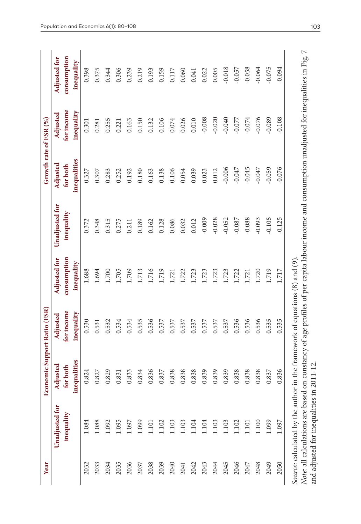| Year |                                                                                                                                                                                                                                                                            | щ                                   | conomic Support Ratio (ESR)          |                                                  |                              | Growth rate of ESR (%)               |                                      |                                                  |
|------|----------------------------------------------------------------------------------------------------------------------------------------------------------------------------------------------------------------------------------------------------------------------------|-------------------------------------|--------------------------------------|--------------------------------------------------|------------------------------|--------------------------------------|--------------------------------------|--------------------------------------------------|
|      | Unadjusted for<br>inequality                                                                                                                                                                                                                                               | inequalities<br>Adjusted<br>forboth | for income<br>inequality<br>Adjusted | consumption<br><b>Adjusted for</b><br>inequality | Unadjusted for<br>inequality | inequalities<br>Adjusted<br>for both | for income<br>inequality<br>Adjusted | consumption<br><b>Adjusted for</b><br>inequality |
| 2032 | 1.084                                                                                                                                                                                                                                                                      | 0.824                               | 0.530                                | 1.688                                            | 0.372                        | 0.327                                | 0.301                                | 0.398                                            |
| 2033 | 1.088                                                                                                                                                                                                                                                                      | 0.827                               | 0.531                                | 1.694                                            | 0.348                        | 0.307                                | 0.281                                | 0.375                                            |
| 2034 | 1.092                                                                                                                                                                                                                                                                      | 0.829                               | 0.532                                | 1.700                                            | 0.315                        | 0.283                                | 0.255                                | 0.344                                            |
| 2035 | 1.095                                                                                                                                                                                                                                                                      | 0.831                               | 0.534                                | 1.705                                            | 0.275                        | 0.252                                | 0.221                                | 0.306                                            |
| 2036 | 1.097                                                                                                                                                                                                                                                                      | 0.833                               | 0.534                                | 1.709                                            | 0.211                        | 0.192                                | 0.163                                | 0.239                                            |
| 2037 | 1.099                                                                                                                                                                                                                                                                      | 0.834                               | 0.535                                | 1.713                                            | 0.189                        | 0.180                                | 0.150                                | 0.219                                            |
| 2038 | 1.101                                                                                                                                                                                                                                                                      | 0.836                               | 0.536                                | 1.716                                            | 0.162                        | 0.163                                | 0.132                                | 0.193                                            |
| 2039 | 1.102                                                                                                                                                                                                                                                                      | 0.837                               | 0.537                                | 1.719                                            | 0.128                        | 0.138                                | 0.106                                | 0.159                                            |
| 2040 | 1.103                                                                                                                                                                                                                                                                      | 0.838                               | 0.537                                | 1.721                                            | 0.086                        | 0.106                                | 0.074                                | 0.117                                            |
| 2041 | 1.103                                                                                                                                                                                                                                                                      | 0.838                               | 0.537                                | 1.722                                            | 0.032                        | 0.054                                | 0.026                                | 0.060                                            |
| 2042 | 1.104                                                                                                                                                                                                                                                                      | 0.838                               | 0.537                                | 1.723                                            | 0.012                        | 0.039                                | 0.010                                | 0.041                                            |
| 2043 | 1.104                                                                                                                                                                                                                                                                      | 0.839                               | 0.537                                | 1.723                                            | $-0.009$                     | 0.023                                | $-0.008$                             | 0.022                                            |
| 2044 | 1.103                                                                                                                                                                                                                                                                      | 0.839                               | 0.537                                | 1.723                                            | $-0.028$                     | 0.012                                | $-0.020$                             | 0.005                                            |
| 2045 | 1.103                                                                                                                                                                                                                                                                      | 0.839                               | 0.537                                | 1.723                                            | $-0.052$                     | $-0.006$                             | $-0.040$                             | $-0.018$                                         |
| 2046 | 1.102                                                                                                                                                                                                                                                                      | 0.838                               | 0.536                                | 1.722                                            | $-0.087$                     | $-0.047$                             | $-0.077$                             | $-0.057$                                         |
| 2047 | 1.101                                                                                                                                                                                                                                                                      | 0.838                               | 0.536                                | 1.721                                            | $-0.088$                     | $-0.045$                             | $-0.074$                             | $-0.058$                                         |
| 2048 | 1.100                                                                                                                                                                                                                                                                      | 0.838                               | 0.536                                | 1.720                                            | $-0.093$                     | $-0.047$                             | $-0.076$                             | $-0.064$                                         |
| 2049 | 1.099                                                                                                                                                                                                                                                                      | 0.837                               | 0.535                                | 1.719                                            | $-0.105$                     | $-0.059$                             | $-0.089$                             | $-0.075$                                         |
| 2050 | 1.097                                                                                                                                                                                                                                                                      | 0.836                               | 0.535                                | 1.717                                            | $-0.125$                     | $-0.076$                             | $-0.108$                             | $-0.094$                                         |
|      | Note: all calculations are based on constancy of age profiles of per capita labour income and consumption unadjusted for inequalities in Fig. 7<br>Source: calculated by the author in the framework of equations (8) and (9)<br>and adjusted for inequalities in 2011-12. |                                     |                                      |                                                  |                              |                                      |                                      |                                                  |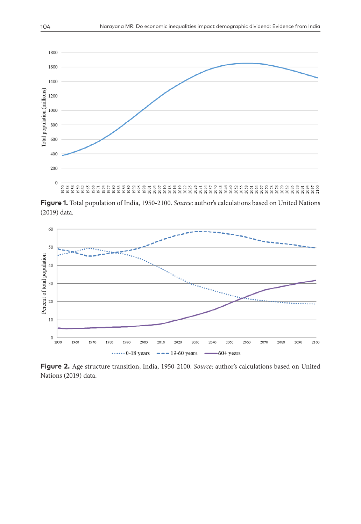

**Figure 1.** Total population of India, 1950-2100. *Source*: author's calculations based on United Nations (2019) data.



**Figure 2.** Age structure transition, India, 1950-2100. *Source*: author's calculations based on United Nations (2019) data.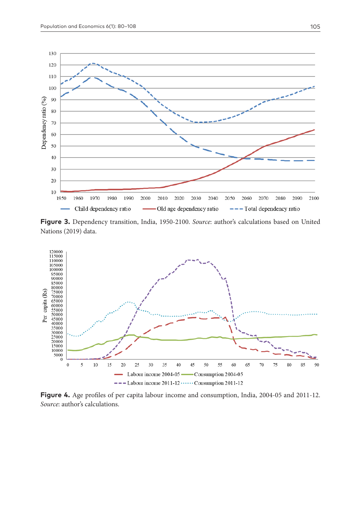

**Figure 3.** Dependency transition, India, 1950-2100. *Source*: author's calculations based on United Nations (2019) data.



**Figure 4.** Age profiles of per capita labour income and consumption, India, 2004-05 and 2011-12. *Source*: author's calculations.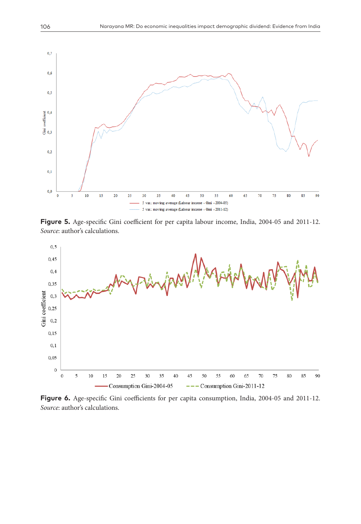

**Figure 5.** Age-specific Gini coefficient for per capita labour income, India, 2004-05 and 2011-12. *Source*: author's calculations.



Figure 6. Age-specific Gini coefficients for per capita consumption, India, 2004-05 and 2011-12. *Source*: author's calculations.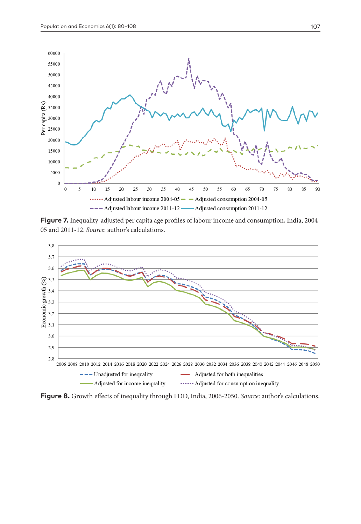

Figure 7. Inequality-adjusted per capita age profiles of labour income and consumption, India, 2004-05 and 2011-12. *Source*: author's calculations.



**Figure 8.** Growth effects of inequality through FDD, India, 2006-2050. *Source*: author's calculations.